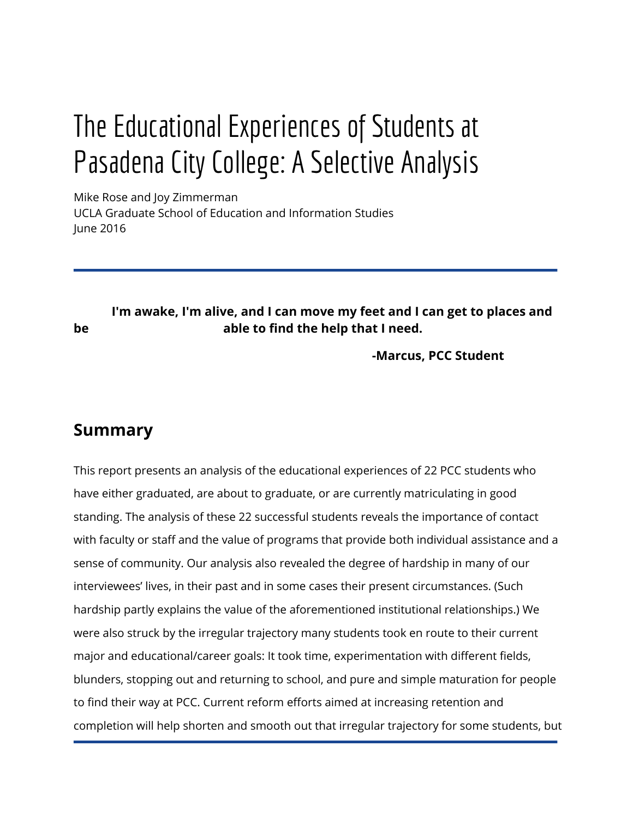# The Educational Experiences of Students at Pasadena City College: A Selective Analysis

Mike Rose and Joy Zimmerman UCLA Graduate School of Education and Information Studies June 2016

#### **I'm awake, I'm alive, and I can move my feet and I can get to places and be able to find the help that I need.**

**-Marcus, PCC Student** 

### **Summary**

This report presents an analysis of the educational experiences of 22 PCC students who have either graduated, are about to graduate, or are currently matriculating in good standing. The analysis of these 22 successful students reveals the importance of contact with faculty or staff and the value of programs that provide both individual assistance and a sense of community. Our analysis also revealed the degree of hardship in many of our interviewees' lives, in their past and in some cases their present circumstances. (Such hardship partly explains the value of the aforementioned institutional relationships.) We were also struck by the irregular trajectory many students took en route to their current major and educational/career goals: It took time, experimentation with different fields, blunders, stopping out and returning to school, and pure and simple maturation for people to find their way at PCC. Current reform efforts aimed at increasing retention and completion will help shorten and smooth out that irregular trajectory for some students, but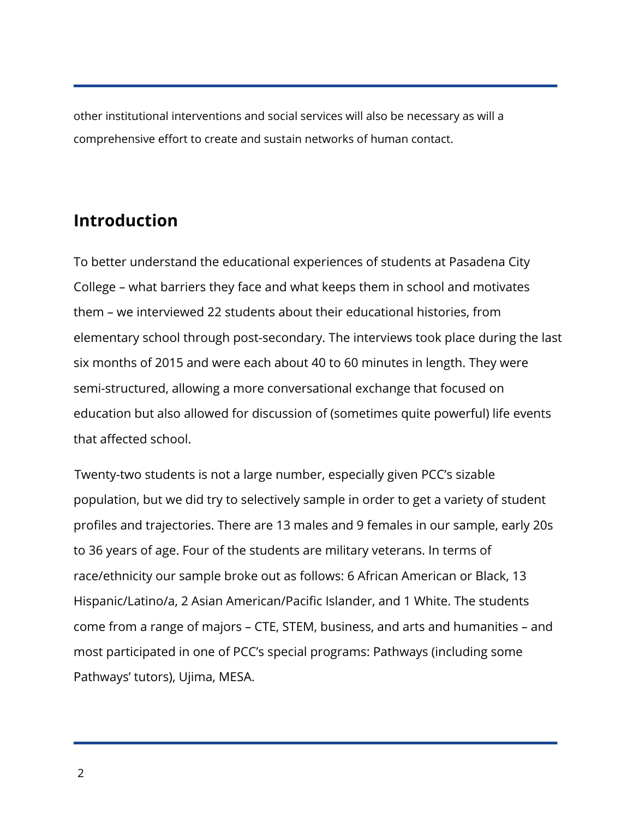other institutional interventions and social services will also be necessary as will a comprehensive effort to create and sustain networks of human contact.

## **Introduction**

To better understand the educational experiences of students at Pasadena City College – what barriers they face and what keeps them in school and motivates them – we interviewed 22 students about their educational histories, from elementary school through post-secondary. The interviews took place during the last six months of 2015 and were each about 40 to 60 minutes in length. They were semi-structured, allowing a more conversational exchange that focused on education but also allowed for discussion of (sometimes quite powerful) life events that affected school.

Twenty-two students is not a large number, especially given PCC's sizable population, but we did try to selectively sample in order to get a variety of student profiles and trajectories. There are 13 males and 9 females in our sample, early 20s to 36 years of age. Four of the students are military veterans. In terms of race/ethnicity our sample broke out as follows: 6 African American or Black, 13 Hispanic/Latino/a, 2 Asian American/Pacific Islander, and 1 White. The students come from a range of majors – CTE, STEM, business, and arts and humanities – and most participated in one of PCC's special programs: Pathways (including some Pathways' tutors), Ujima, MESA.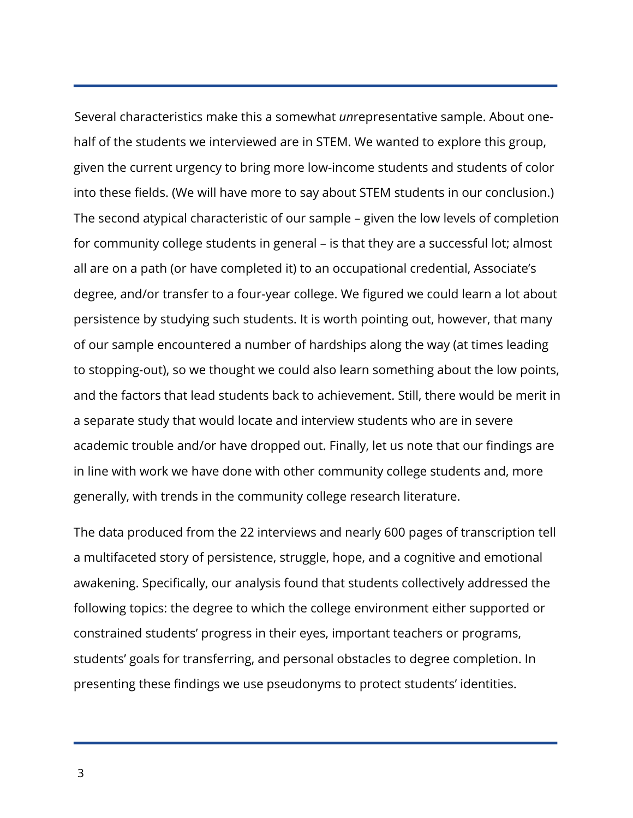Several characteristics make this a somewhat *un*representative sample. About onehalf of the students we interviewed are in STEM. We wanted to explore this group, given the current urgency to bring more low-income students and students of color into these fields. (We will have more to say about STEM students in our conclusion.) The second atypical characteristic of our sample – given the low levels of completion for community college students in general – is that they are a successful lot; almost all are on a path (or have completed it) to an occupational credential, Associate's degree, and/or transfer to a four-year college. We figured we could learn a lot about persistence by studying such students. It is worth pointing out, however, that many of our sample encountered a number of hardships along the way (at times leading to stopping-out), so we thought we could also learn something about the low points, and the factors that lead students back to achievement. Still, there would be merit in a separate study that would locate and interview students who are in severe academic trouble and/or have dropped out. Finally, let us note that our findings are in line with work we have done with other community college students and, more generally, with trends in the community college research literature.

The data produced from the 22 interviews and nearly 600 pages of transcription tell a multifaceted story of persistence, struggle, hope, and a cognitive and emotional awakening. Specifically, our analysis found that students collectively addressed the following topics: the degree to which the college environment either supported or constrained students' progress in their eyes, important teachers or programs, students' goals for transferring, and personal obstacles to degree completion. In presenting these findings we use pseudonyms to protect students' identities.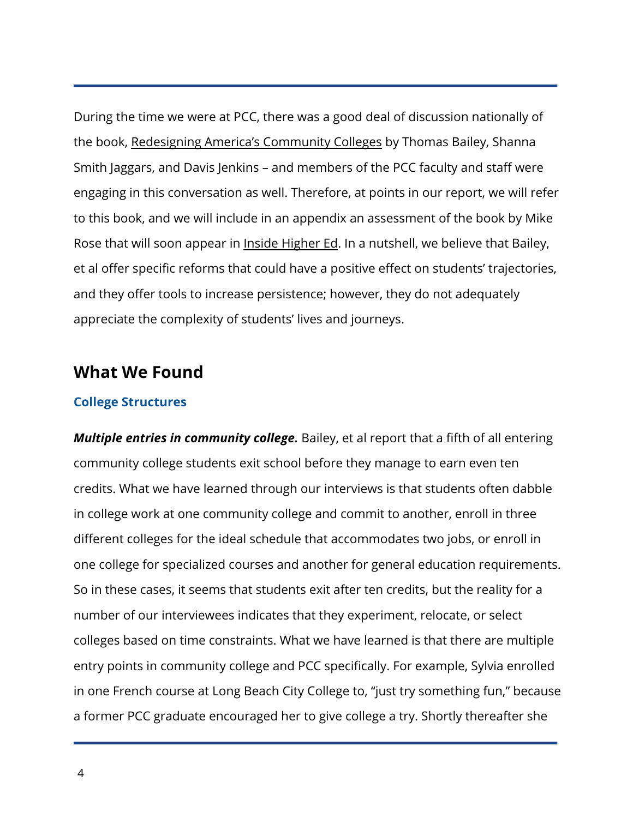During the time we were at PCC, there was a good deal of discussion nationally of the book, Redesigning America's Community Colleges by Thomas Bailey, Shanna Smith Jaggars, and Davis Jenkins – and members of the PCC faculty and staff were engaging in this conversation as well. Therefore, at points in our report, we will refer to this book, and we will include in an appendix an assessment of the book by Mike Rose that will soon appear in Inside Higher Ed. In a nutshell, we believe that Bailey, et al offer specific reforms that could have a positive effect on students' trajectories, and they offer tools to increase persistence; however, they do not adequately appreciate the complexity of students' lives and journeys.

## **What We Found**

#### **College Structures**

*Multiple entries in community college.* Bailey, et al report that a fifth of all entering community college students exit school before they manage to earn even ten credits. What we have learned through our interviews is that students often dabble in college work at one community college and commit to another, enroll in three different colleges for the ideal schedule that accommodates two jobs, or enroll in one college for specialized courses and another for general education requirements. So in these cases, it seems that students exit after ten credits, but the reality for a number of our interviewees indicates that they experiment, relocate, or select colleges based on time constraints. What we have learned is that there are multiple entry points in community college and PCC specifically. For example, Sylvia enrolled in one French course at Long Beach City College to, "just try something fun," because a former PCC graduate encouraged her to give college a try. Shortly thereafter she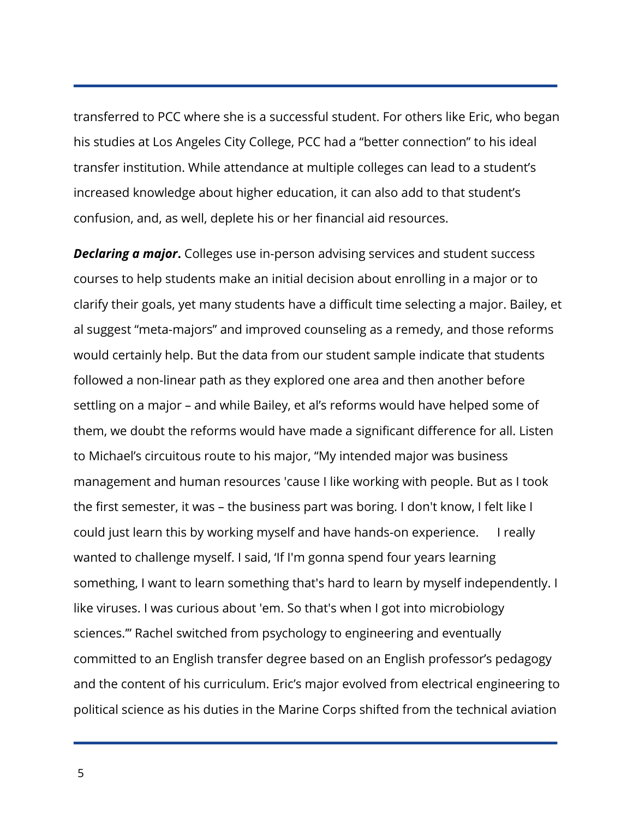transferred to PCC where she is a successful student. For others like Eric, who began his studies at Los Angeles City College, PCC had a "better connection" to his ideal transfer institution. While attendance at multiple colleges can lead to a student's increased knowledge about higher education, it can also add to that student's confusion, and, as well, deplete his or her financial aid resources.

*Declaring a major***.** Colleges use in-person advising services and student success courses to help students make an initial decision about enrolling in a major or to clarify their goals, yet many students have a difficult time selecting a major. Bailey, et al suggest "meta-majors" and improved counseling as a remedy, and those reforms would certainly help. But the data from our student sample indicate that students followed a non-linear path as they explored one area and then another before settling on a major – and while Bailey, et al's reforms would have helped some of them, we doubt the reforms would have made a significant difference for all. Listen to Michael's circuitous route to his major, "My intended major was business management and human resources 'cause I like working with people. But as I took the first semester, it was – the business part was boring. I don't know, I felt like I could just learn this by working myself and have hands-on experience. I really wanted to challenge myself. I said, 'If I'm gonna spend four years learning something, I want to learn something that's hard to learn by myself independently. I like viruses. I was curious about 'em. So that's when I got into microbiology sciences.'" Rachel switched from psychology to engineering and eventually committed to an English transfer degree based on an English professor's pedagogy and the content of his curriculum. Eric's major evolved from electrical engineering to political science as his duties in the Marine Corps shifted from the technical aviation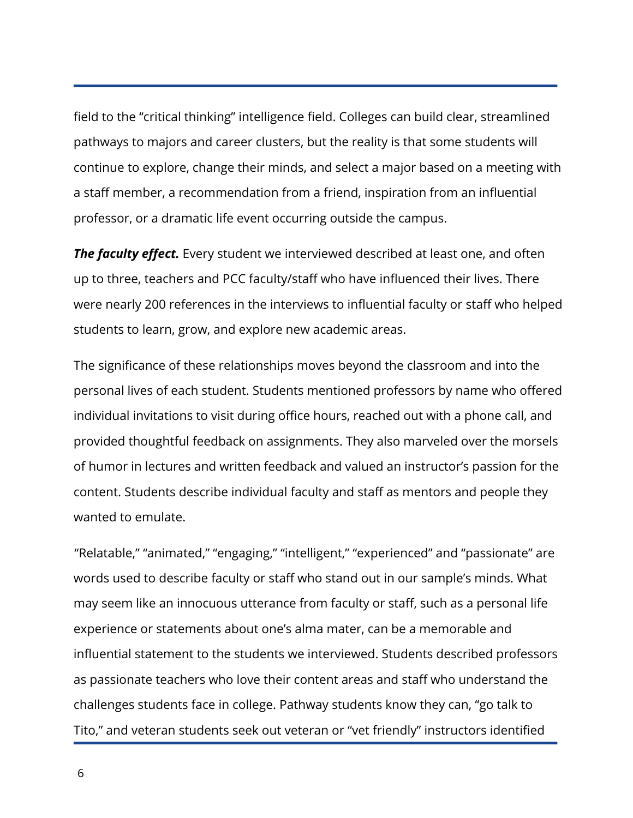field to the "critical thinking" intelligence field. Colleges can build clear, streamlined pathways to majors and career clusters, but the reality is that some students will continue to explore, change their minds, and select a major based on a meeting with a staff member, a recommendation from a friend, inspiration from an influential professor, or a dramatic life event occurring outside the campus.

**The faculty effect.** Every student we interviewed described at least one, and often up to three, teachers and PCC faculty/staff who have influenced their lives. There were nearly 200 references in the interviews to influential faculty or staff who helped students to learn, grow, and explore new academic areas.

The significance of these relationships moves beyond the classroom and into the personal lives of each student. Students mentioned professors by name who offered individual invitations to visit during office hours, reached out with a phone call, and provided thoughtful feedback on assignments. They also marveled over the morsels of humor in lectures and written feedback and valued an instructor's passion for the content. Students describe individual faculty and staff as mentors and people they wanted to emulate.

"Relatable," "animated," "engaging," "intelligent," "experienced" and "passionate" are words used to describe faculty or staff who stand out in our sample's minds. What may seem like an innocuous utterance from faculty or staff, such as a personal life experience or statements about one's alma mater, can be a memorable and influential statement to the students we interviewed. Students described professors as passionate teachers who love their content areas and staff who understand the challenges students face in college. Pathway students know they can, "go talk to Tito," and veteran students seek out veteran or "vet friendly" instructors identified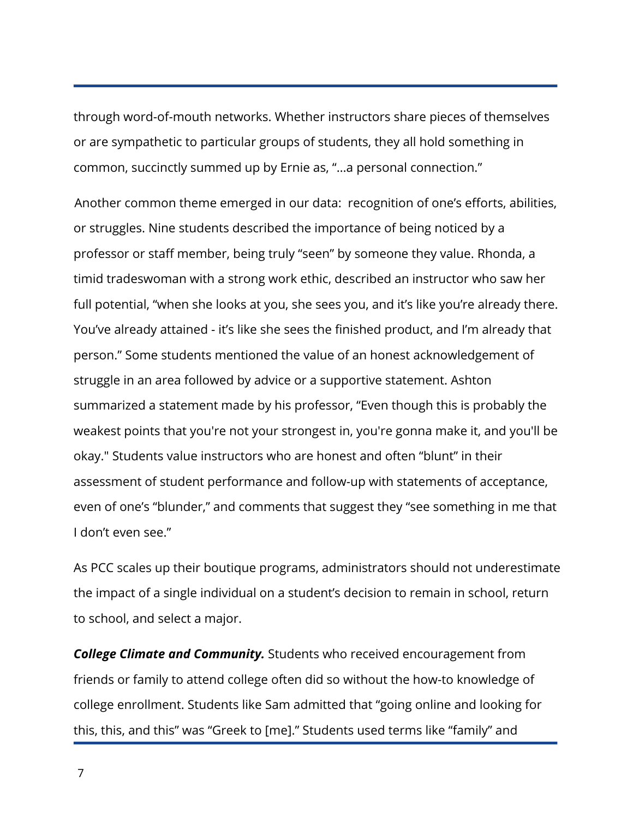through word-of-mouth networks. Whether instructors share pieces of themselves or are sympathetic to particular groups of students, they all hold something in common, succinctly summed up by Ernie as, "…a personal connection."

Another common theme emerged in our data: recognition of one's efforts, abilities, or struggles. Nine students described the importance of being noticed by a professor or staff member, being truly "seen" by someone they value. Rhonda, a timid tradeswoman with a strong work ethic, described an instructor who saw her full potential, "when she looks at you, she sees you, and it's like you're already there. You've already attained - it's like she sees the finished product, and I'm already that person." Some students mentioned the value of an honest acknowledgement of struggle in an area followed by advice or a supportive statement. Ashton summarized a statement made by his professor, "Even though this is probably the weakest points that you're not your strongest in, you're gonna make it, and you'll be okay." Students value instructors who are honest and often "blunt" in their assessment of student performance and follow-up with statements of acceptance, even of one's "blunder," and comments that suggest they "see something in me that I don't even see."

As PCC scales up their boutique programs, administrators should not underestimate the impact of a single individual on a student's decision to remain in school, return to school, and select a major.

*College Climate and Community.* Students who received encouragement from friends or family to attend college often did so without the how-to knowledge of college enrollment. Students like Sam admitted that "going online and looking for this, this, and this" was "Greek to [me]." Students used terms like "family" and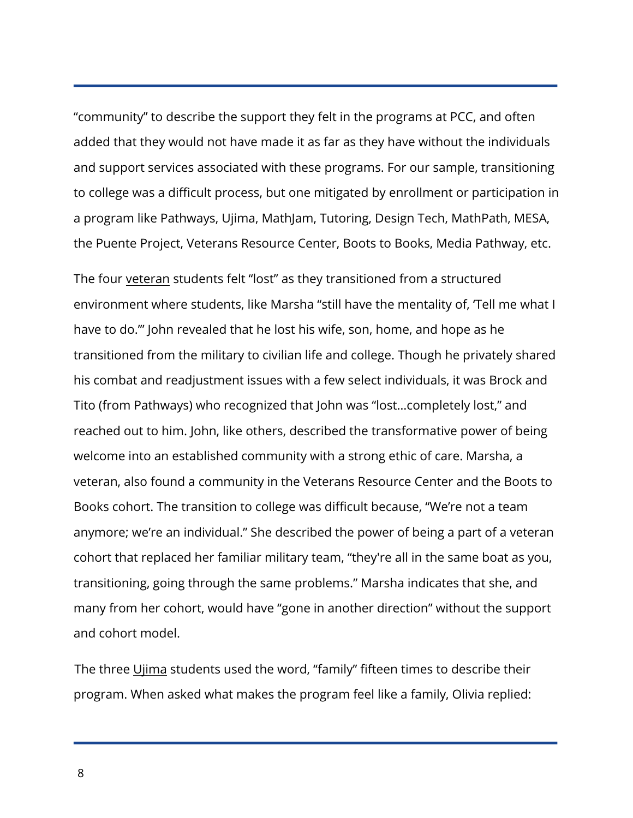"community" to describe the support they felt in the programs at PCC, and often added that they would not have made it as far as they have without the individuals and support services associated with these programs. For our sample, transitioning to college was a difficult process, but one mitigated by enrollment or participation in a program like Pathways, Ujima, MathJam, Tutoring, Design Tech, MathPath, MESA, the Puente Project, Veterans Resource Center, Boots to Books, Media Pathway, etc.

The four veteran students felt "lost" as they transitioned from a structured environment where students, like Marsha "still have the mentality of, 'Tell me what I have to do.'" John revealed that he lost his wife, son, home, and hope as he transitioned from the military to civilian life and college. Though he privately shared his combat and readjustment issues with a few select individuals, it was Brock and Tito (from Pathways) who recognized that John was "lost…completely lost," and reached out to him. John, like others, described the transformative power of being welcome into an established community with a strong ethic of care. Marsha, a veteran, also found a community in the Veterans Resource Center and the Boots to Books cohort. The transition to college was difficult because, "We're not a team anymore; we're an individual." She described the power of being a part of a veteran cohort that replaced her familiar military team, "they're all in the same boat as you, transitioning, going through the same problems." Marsha indicates that she, and many from her cohort, would have "gone in another direction" without the support and cohort model.

The three Ujima students used the word, "family" fifteen times to describe their program. When asked what makes the program feel like a family, Olivia replied: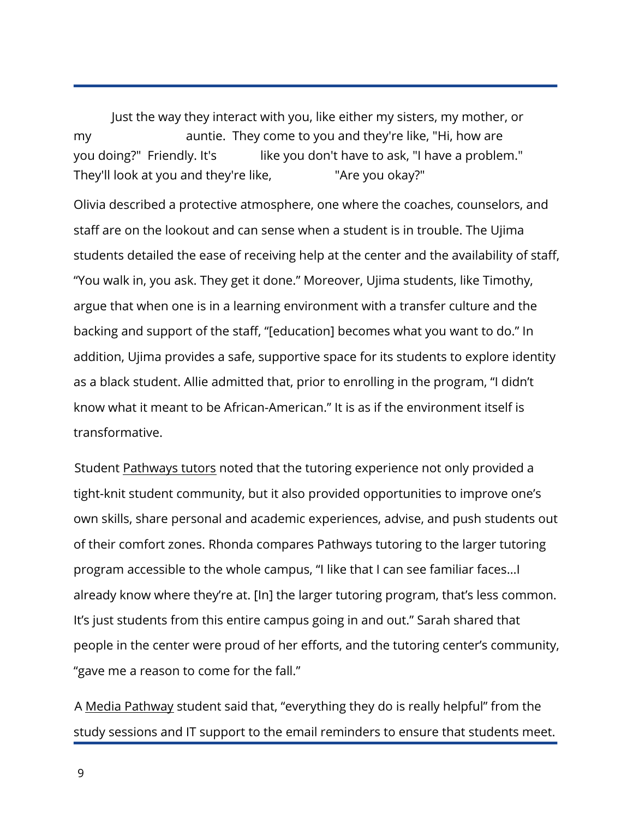Just the way they interact with you, like either my sisters, my mother, or my auntie. They come to you and they're like, "Hi, how are you doing?" Friendly. It's like you don't have to ask, "I have a problem." They'll look at you and they're like, "Are you okay?"

Olivia described a protective atmosphere, one where the coaches, counselors, and staff are on the lookout and can sense when a student is in trouble. The Ujima students detailed the ease of receiving help at the center and the availability of staff, "You walk in, you ask. They get it done." Moreover, Ujima students, like Timothy, argue that when one is in a learning environment with a transfer culture and the backing and support of the staff, "[education] becomes what you want to do." In addition, Ujima provides a safe, supportive space for its students to explore identity as a black student. Allie admitted that, prior to enrolling in the program, "I didn't know what it meant to be African-American." It is as if the environment itself is transformative.

Student Pathways tutors noted that the tutoring experience not only provided a tight-knit student community, but it also provided opportunities to improve one's own skills, share personal and academic experiences, advise, and push students out of their comfort zones. Rhonda compares Pathways tutoring to the larger tutoring program accessible to the whole campus, "I like that I can see familiar faces…I already know where they're at. [In] the larger tutoring program, that's less common. It's just students from this entire campus going in and out." Sarah shared that people in the center were proud of her efforts, and the tutoring center's community, "gave me a reason to come for the fall."

A Media Pathway student said that, "everything they do is really helpful" from the study sessions and IT support to the email reminders to ensure that students meet.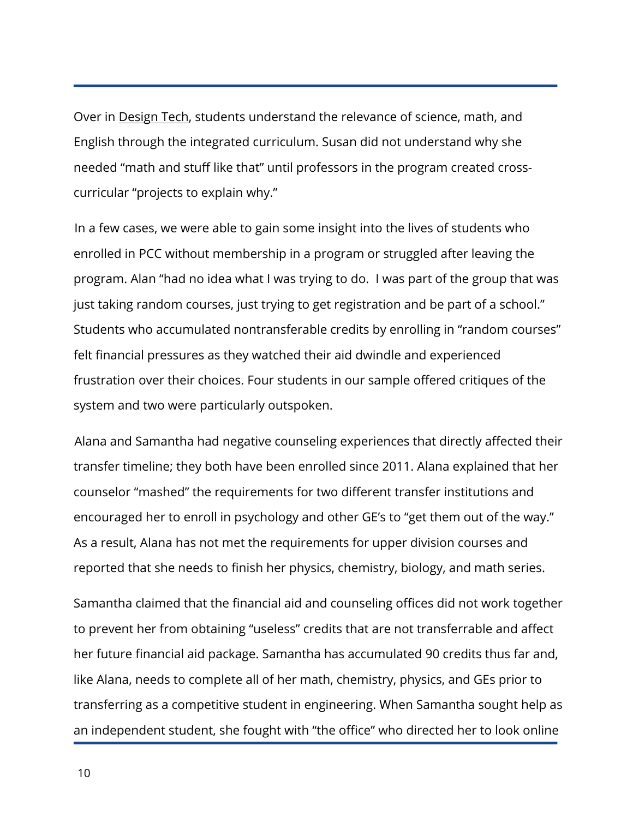Over in Design Tech, students understand the relevance of science, math, and English through the integrated curriculum. Susan did not understand why she needed "math and stuff like that" until professors in the program created crosscurricular "projects to explain why."

In a few cases, we were able to gain some insight into the lives of students who enrolled in PCC without membership in a program or struggled after leaving the program. Alan "had no idea what I was trying to do. I was part of the group that was just taking random courses, just trying to get registration and be part of a school." Students who accumulated nontransferable credits by enrolling in "random courses" felt financial pressures as they watched their aid dwindle and experienced frustration over their choices. Four students in our sample offered critiques of the system and two were particularly outspoken.

Alana and Samantha had negative counseling experiences that directly affected their transfer timeline; they both have been enrolled since 2011. Alana explained that her counselor "mashed" the requirements for two different transfer institutions and encouraged her to enroll in psychology and other GE's to "get them out of the way." As a result, Alana has not met the requirements for upper division courses and reported that she needs to finish her physics, chemistry, biology, and math series.

Samantha claimed that the financial aid and counseling offices did not work together to prevent her from obtaining "useless" credits that are not transferrable and affect her future financial aid package. Samantha has accumulated 90 credits thus far and, like Alana, needs to complete all of her math, chemistry, physics, and GEs prior to transferring as a competitive student in engineering. When Samantha sought help as an independent student, she fought with "the office" who directed her to look online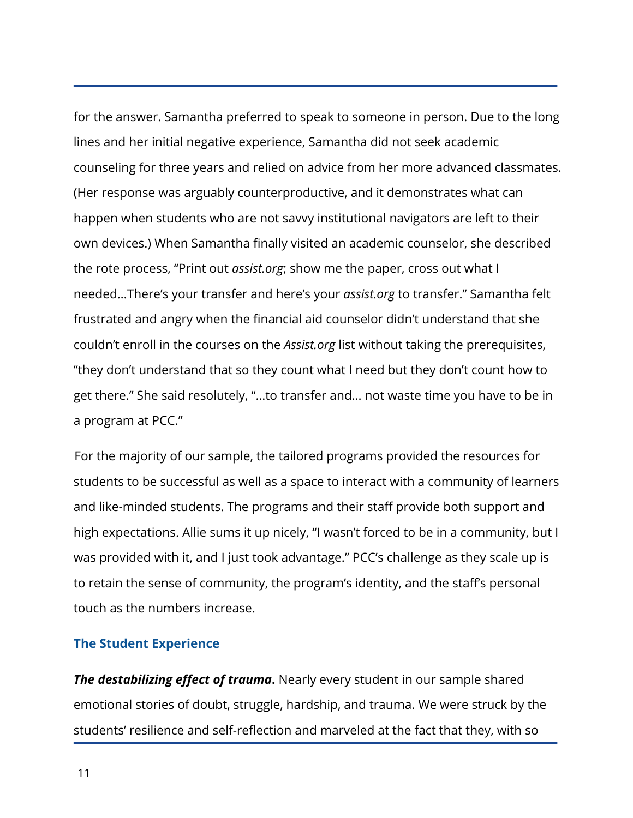for the answer. Samantha preferred to speak to someone in person. Due to the long lines and her initial negative experience, Samantha did not seek academic counseling for three years and relied on advice from her more advanced classmates. (Her response was arguably counterproductive, and it demonstrates what can happen when students who are not savvy institutional navigators are left to their own devices.) When Samantha finally visited an academic counselor, she described the rote process, "Print out *assist.org*; show me the paper, cross out what I needed…There's your transfer and here's your *assist.org* to transfer." Samantha felt frustrated and angry when the financial aid counselor didn't understand that she couldn't enroll in the courses on the *Assist.org* list without taking the prerequisites, "they don't understand that so they count what I need but they don't count how to get there." She said resolutely, "…to transfer and… not waste time you have to be in a program at PCC."

For the majority of our sample, the tailored programs provided the resources for students to be successful as well as a space to interact with a community of learners and like-minded students. The programs and their staff provide both support and high expectations. Allie sums it up nicely, "I wasn't forced to be in a community, but I was provided with it, and I just took advantage." PCC's challenge as they scale up is to retain the sense of community, the program's identity, and the staff's personal touch as the numbers increase.

#### **The Student Experience**

*The destabilizing effect of trauma***.** Nearly every student in our sample shared emotional stories of doubt, struggle, hardship, and trauma. We were struck by the students' resilience and self-reflection and marveled at the fact that they, with so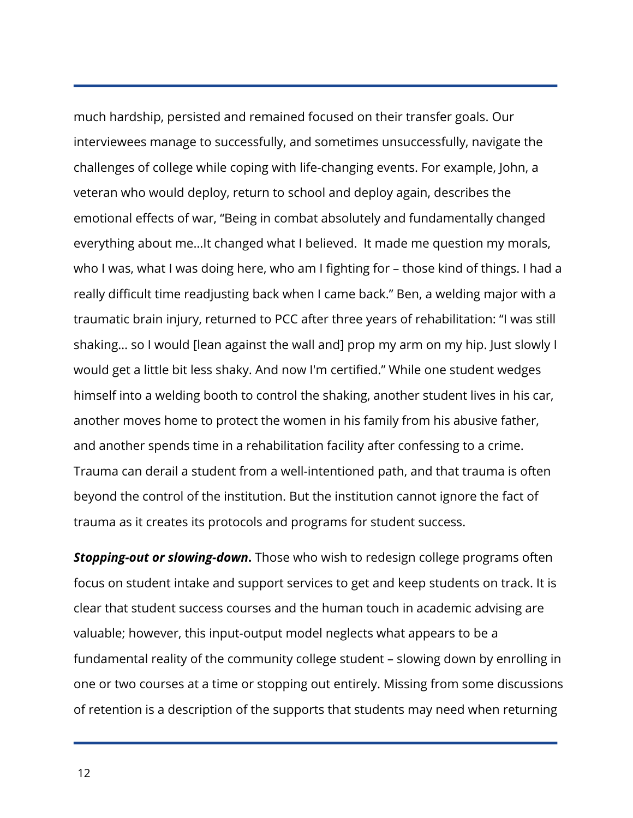much hardship, persisted and remained focused on their transfer goals. Our interviewees manage to successfully, and sometimes unsuccessfully, navigate the challenges of college while coping with life-changing events. For example, John, a veteran who would deploy, return to school and deploy again, describes the emotional effects of war, "Being in combat absolutely and fundamentally changed everything about me…It changed what I believed. It made me question my morals, who I was, what I was doing here, who am I fighting for – those kind of things. I had a really difficult time readjusting back when I came back." Ben, a welding major with a traumatic brain injury, returned to PCC after three years of rehabilitation: "I was still shaking… so I would [lean against the wall and] prop my arm on my hip. Just slowly I would get a little bit less shaky. And now I'm certified." While one student wedges himself into a welding booth to control the shaking, another student lives in his car, another moves home to protect the women in his family from his abusive father, and another spends time in a rehabilitation facility after confessing to a crime. Trauma can derail a student from a well-intentioned path, and that trauma is often beyond the control of the institution. But the institution cannot ignore the fact of trauma as it creates its protocols and programs for student success.

*Stopping-out or slowing-down***.** Those who wish to redesign college programs often focus on student intake and support services to get and keep students on track. It is clear that student success courses and the human touch in academic advising are valuable; however, this input-output model neglects what appears to be a fundamental reality of the community college student – slowing down by enrolling in one or two courses at a time or stopping out entirely. Missing from some discussions of retention is a description of the supports that students may need when returning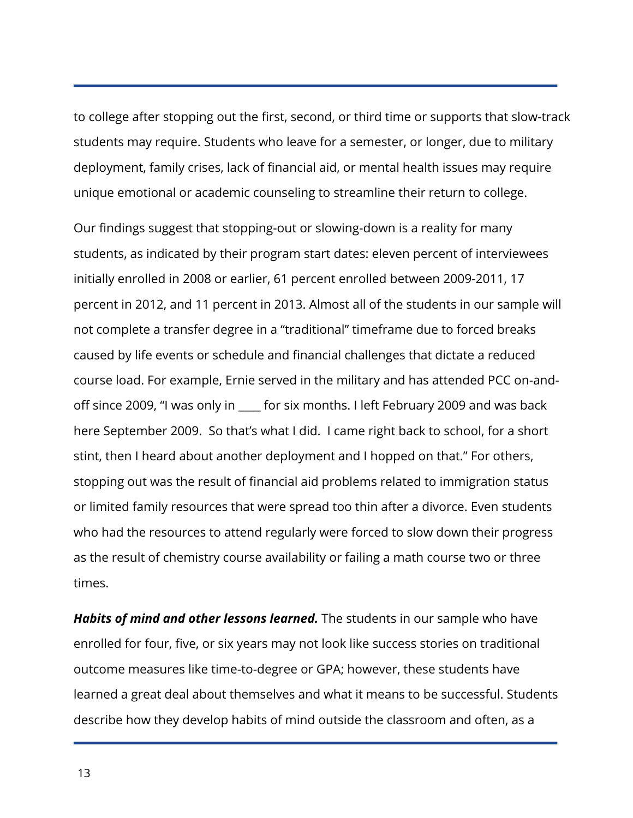to college after stopping out the first, second, or third time or supports that slow-track students may require. Students who leave for a semester, or longer, due to military deployment, family crises, lack of financial aid, or mental health issues may require unique emotional or academic counseling to streamline their return to college.

Our findings suggest that stopping-out or slowing-down is a reality for many students, as indicated by their program start dates: eleven percent of interviewees initially enrolled in 2008 or earlier, 61 percent enrolled between 2009-2011, 17 percent in 2012, and 11 percent in 2013. Almost all of the students in our sample will not complete a transfer degree in a "traditional" timeframe due to forced breaks caused by life events or schedule and financial challenges that dictate a reduced course load. For example, Ernie served in the military and has attended PCC on-andoff since 2009, "I was only in \_\_\_\_ for six months. I left February 2009 and was back here September 2009. So that's what I did. I came right back to school, for a short stint, then I heard about another deployment and I hopped on that." For others, stopping out was the result of financial aid problems related to immigration status or limited family resources that were spread too thin after a divorce. Even students who had the resources to attend regularly were forced to slow down their progress as the result of chemistry course availability or failing a math course two or three times.

**Habits of mind and other lessons learned.** The students in our sample who have enrolled for four, five, or six years may not look like success stories on traditional outcome measures like time-to-degree or GPA; however, these students have learned a great deal about themselves and what it means to be successful. Students describe how they develop habits of mind outside the classroom and often, as a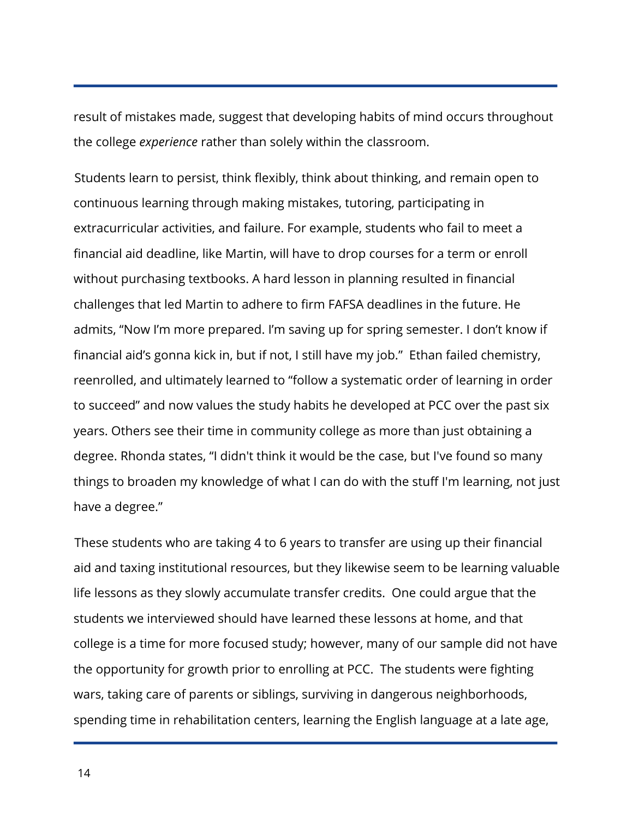result of mistakes made, suggest that developing habits of mind occurs throughout the college *experience* rather than solely within the classroom.

Students learn to persist, think flexibly, think about thinking, and remain open to continuous learning through making mistakes, tutoring, participating in extracurricular activities, and failure. For example, students who fail to meet a financial aid deadline, like Martin, will have to drop courses for a term or enroll without purchasing textbooks. A hard lesson in planning resulted in financial challenges that led Martin to adhere to firm FAFSA deadlines in the future. He admits, "Now I'm more prepared. I'm saving up for spring semester. I don't know if financial aid's gonna kick in, but if not, I still have my job." Ethan failed chemistry, reenrolled, and ultimately learned to "follow a systematic order of learning in order to succeed" and now values the study habits he developed at PCC over the past six years. Others see their time in community college as more than just obtaining a degree. Rhonda states, "I didn't think it would be the case, but I've found so many things to broaden my knowledge of what I can do with the stuff I'm learning, not just have a degree."

These students who are taking 4 to 6 years to transfer are using up their financial aid and taxing institutional resources, but they likewise seem to be learning valuable life lessons as they slowly accumulate transfer credits. One could argue that the students we interviewed should have learned these lessons at home, and that college is a time for more focused study; however, many of our sample did not have the opportunity for growth prior to enrolling at PCC. The students were fighting wars, taking care of parents or siblings, surviving in dangerous neighborhoods, spending time in rehabilitation centers, learning the English language at a late age,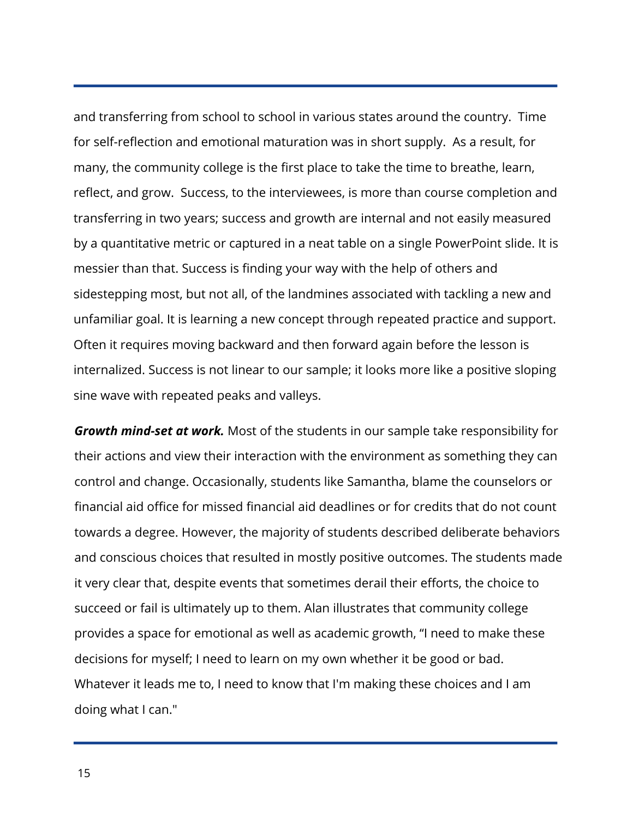and transferring from school to school in various states around the country. Time for self-reflection and emotional maturation was in short supply. As a result, for many, the community college is the first place to take the time to breathe, learn, reflect, and grow. Success, to the interviewees, is more than course completion and transferring in two years; success and growth are internal and not easily measured by a quantitative metric or captured in a neat table on a single PowerPoint slide. It is messier than that. Success is finding your way with the help of others and sidestepping most, but not all, of the landmines associated with tackling a new and unfamiliar goal. It is learning a new concept through repeated practice and support. Often it requires moving backward and then forward again before the lesson is internalized. Success is not linear to our sample; it looks more like a positive sloping sine wave with repeated peaks and valleys.

*Growth mind-set at work.* Most of the students in our sample take responsibility for their actions and view their interaction with the environment as something they can control and change. Occasionally, students like Samantha, blame the counselors or financial aid office for missed financial aid deadlines or for credits that do not count towards a degree. However, the majority of students described deliberate behaviors and conscious choices that resulted in mostly positive outcomes. The students made it very clear that, despite events that sometimes derail their efforts, the choice to succeed or fail is ultimately up to them. Alan illustrates that community college provides a space for emotional as well as academic growth, "I need to make these decisions for myself; I need to learn on my own whether it be good or bad. Whatever it leads me to, I need to know that I'm making these choices and I am doing what I can."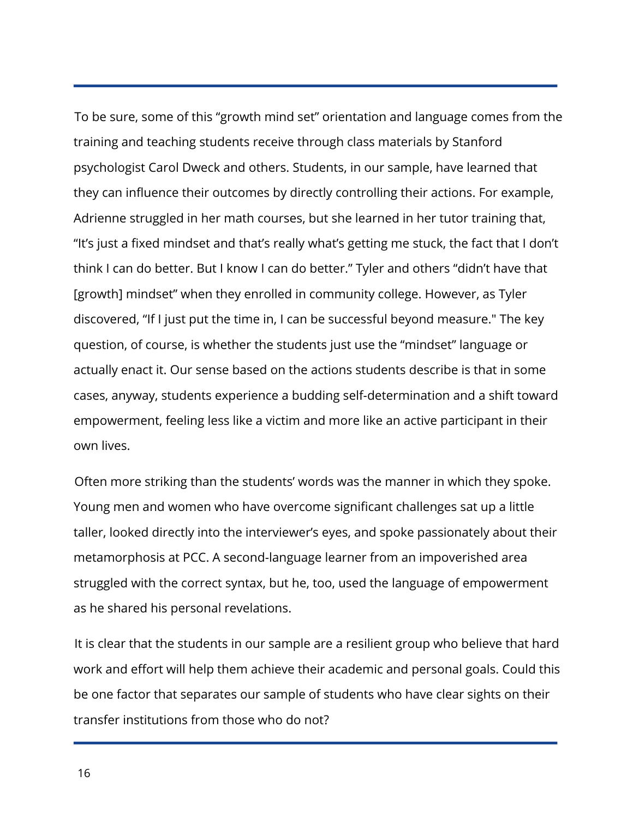To be sure, some of this "growth mind set" orientation and language comes from the training and teaching students receive through class materials by Stanford psychologist Carol Dweck and others. Students, in our sample, have learned that they can influence their outcomes by directly controlling their actions. For example, Adrienne struggled in her math courses, but she learned in her tutor training that, "It's just a fixed mindset and that's really what's getting me stuck, the fact that I don't think I can do better. But I know I can do better." Tyler and others "didn't have that [growth] mindset" when they enrolled in community college. However, as Tyler discovered, "If I just put the time in, I can be successful beyond measure." The key question, of course, is whether the students just use the "mindset" language or actually enact it. Our sense based on the actions students describe is that in some cases, anyway, students experience a budding self-determination and a shift toward empowerment, feeling less like a victim and more like an active participant in their own lives.

Often more striking than the students' words was the manner in which they spoke. Young men and women who have overcome significant challenges sat up a little taller, looked directly into the interviewer's eyes, and spoke passionately about their metamorphosis at PCC. A second-language learner from an impoverished area struggled with the correct syntax, but he, too, used the language of empowerment as he shared his personal revelations.

It is clear that the students in our sample are a resilient group who believe that hard work and effort will help them achieve their academic and personal goals. Could this be one factor that separates our sample of students who have clear sights on their transfer institutions from those who do not?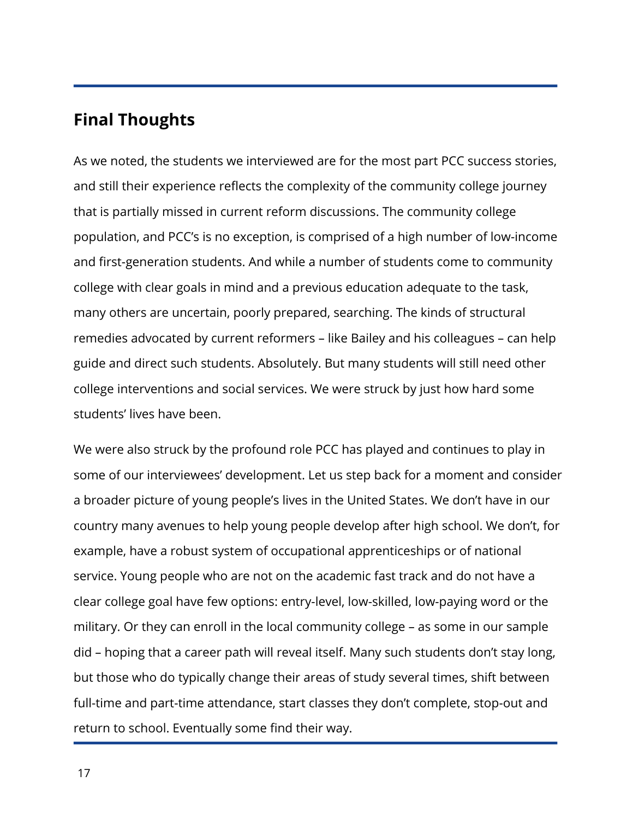## **Final Thoughts**

As we noted, the students we interviewed are for the most part PCC success stories, and still their experience reflects the complexity of the community college journey that is partially missed in current reform discussions. The community college population, and PCC's is no exception, is comprised of a high number of low-income and first-generation students. And while a number of students come to community college with clear goals in mind and a previous education adequate to the task, many others are uncertain, poorly prepared, searching. The kinds of structural remedies advocated by current reformers – like Bailey and his colleagues – can help guide and direct such students. Absolutely. But many students will still need other college interventions and social services. We were struck by just how hard some students' lives have been.

We were also struck by the profound role PCC has played and continues to play in some of our interviewees' development. Let us step back for a moment and consider a broader picture of young people's lives in the United States. We don't have in our country many avenues to help young people develop after high school. We don't, for example, have a robust system of occupational apprenticeships or of national service. Young people who are not on the academic fast track and do not have a clear college goal have few options: entry-level, low-skilled, low-paying word or the military. Or they can enroll in the local community college – as some in our sample did – hoping that a career path will reveal itself. Many such students don't stay long, but those who do typically change their areas of study several times, shift between full-time and part-time attendance, start classes they don't complete, stop-out and return to school. Eventually some find their way.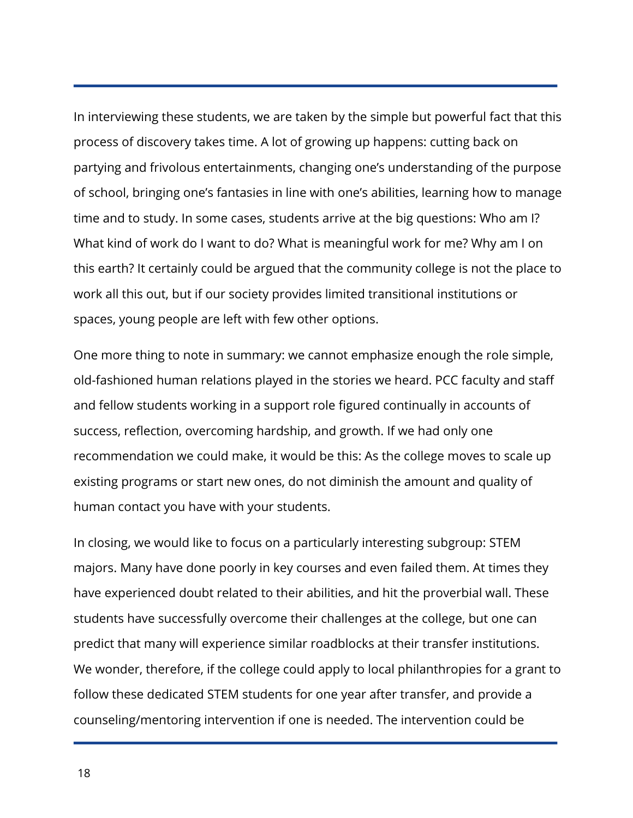In interviewing these students, we are taken by the simple but powerful fact that this process of discovery takes time. A lot of growing up happens: cutting back on partying and frivolous entertainments, changing one's understanding of the purpose of school, bringing one's fantasies in line with one's abilities, learning how to manage time and to study. In some cases, students arrive at the big questions: Who am I? What kind of work do I want to do? What is meaningful work for me? Why am I on this earth? It certainly could be argued that the community college is not the place to work all this out, but if our society provides limited transitional institutions or spaces, young people are left with few other options.

One more thing to note in summary: we cannot emphasize enough the role simple, old-fashioned human relations played in the stories we heard. PCC faculty and staff and fellow students working in a support role figured continually in accounts of success, reflection, overcoming hardship, and growth. If we had only one recommendation we could make, it would be this: As the college moves to scale up existing programs or start new ones, do not diminish the amount and quality of human contact you have with your students.

In closing, we would like to focus on a particularly interesting subgroup: STEM majors. Many have done poorly in key courses and even failed them. At times they have experienced doubt related to their abilities, and hit the proverbial wall. These students have successfully overcome their challenges at the college, but one can predict that many will experience similar roadblocks at their transfer institutions. We wonder, therefore, if the college could apply to local philanthropies for a grant to follow these dedicated STEM students for one year after transfer, and provide a counseling/mentoring intervention if one is needed. The intervention could be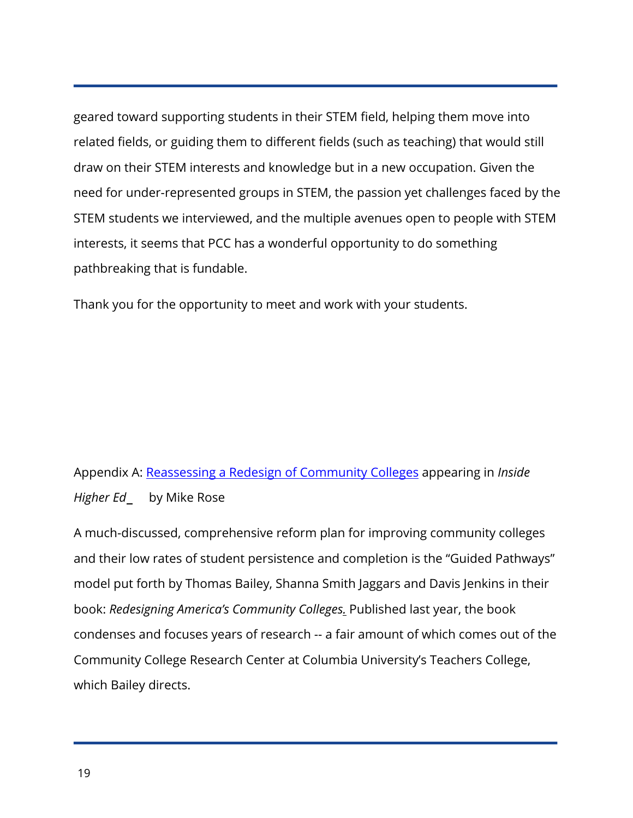geared toward supporting students in their STEM field, helping them move into related fields, or guiding them to different fields (such as teaching) that would still draw on their STEM interests and knowledge but in a new occupation. Given the need for under-represented groups in STEM, the passion yet challenges faced by the STEM students we interviewed, and the multiple avenues open to people with STEM interests, it seems that PCC has a wonderful opportunity to do something pathbreaking that is fundable.

Thank you for the opportunity to meet and work with your students.

#### Higher Ed Appendix A: Reassessing a Redesign of Community Colleges appearing in *Inside*  by Mike Rose

A much-discussed, comprehensive reform plan for improving community colleges and their low rates of student persistence and completion is the "Guided Pathways" model put forth by Thomas Bailey, Shanna Smith Jaggars and Davis Jenkins in their book: *Redesigning America's Community Colleges.* Published last year, the book condenses and focuses years of research -- a fair amount of which comes out of the Community College Research Center at Columbia University's Teachers College, which Bailey directs.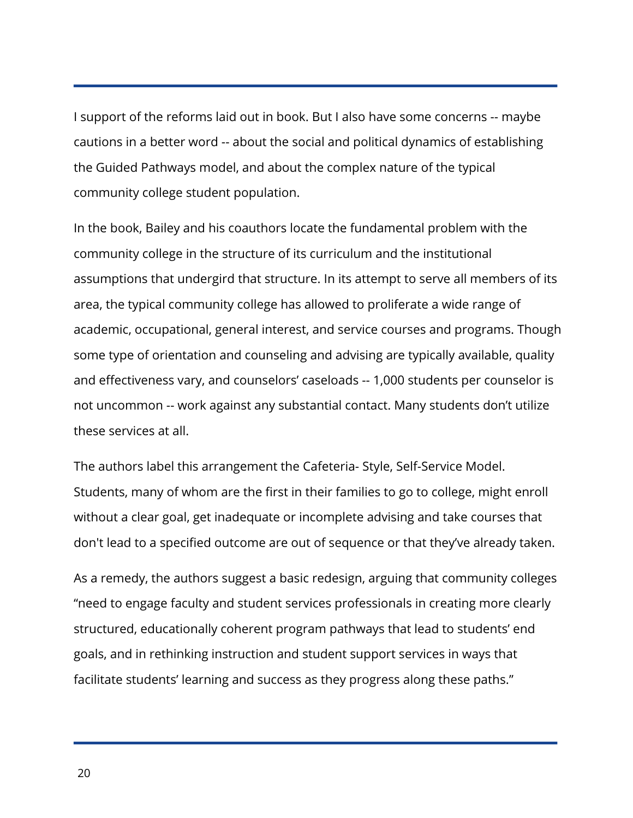I support of the reforms laid out in book. But I also have some concerns -- maybe cautions in a better word -- about the social and political dynamics of establishing the Guided Pathways model, and about the complex nature of the typical community college student population.

In the book, Bailey and his coauthors locate the fundamental problem with the community college in the structure of its curriculum and the institutional assumptions that undergird that structure. In its attempt to serve all members of its area, the typical community college has allowed to proliferate a wide range of academic, occupational, general interest, and service courses and programs. Though some type of orientation and counseling and advising are typically available, quality and effectiveness vary, and counselors' caseloads -- 1,000 students per counselor is not uncommon -- work against any substantial contact. Many students don't utilize these services at all.

The authors label this arrangement the Cafeteria- Style, Self-Service Model. Students, many of whom are the first in their families to go to college, might enroll without a clear goal, get inadequate or incomplete advising and take courses that don't lead to a specified outcome are out of sequence or that they've already taken.

As a remedy, the authors suggest a basic redesign, arguing that community colleges "need to engage faculty and student services professionals in creating more clearly structured, educationally coherent program pathways that lead to students' end goals, and in rethinking instruction and student support services in ways that facilitate students' learning and success as they progress along these paths."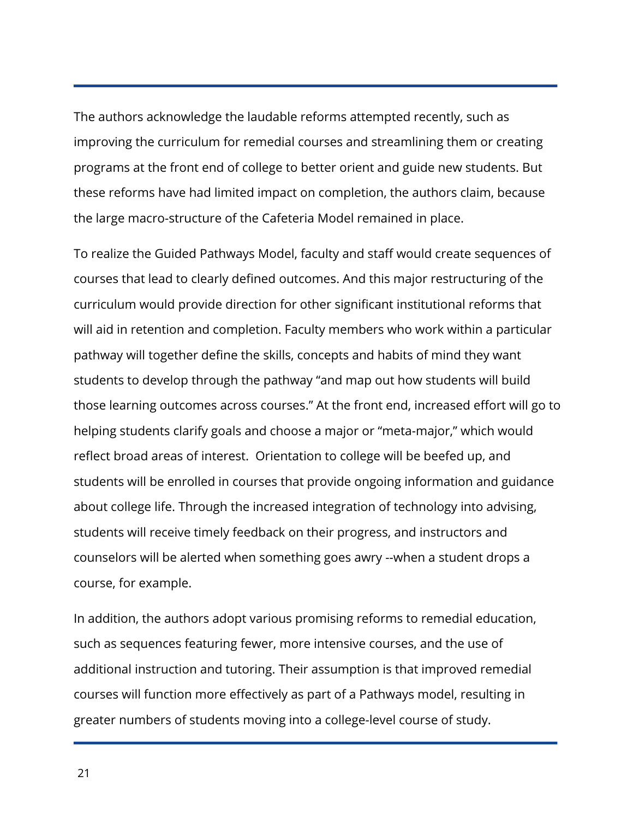The authors acknowledge the laudable reforms attempted recently, such as improving the curriculum for remedial courses and streamlining them or creating programs at the front end of college to better orient and guide new students. But these reforms have had limited impact on completion, the authors claim, because the large macro-structure of the Cafeteria Model remained in place.

To realize the Guided Pathways Model, faculty and staff would create sequences of courses that lead to clearly defined outcomes. And this major restructuring of the curriculum would provide direction for other significant institutional reforms that will aid in retention and completion. Faculty members who work within a particular pathway will together define the skills, concepts and habits of mind they want students to develop through the pathway "and map out how students will build those learning outcomes across courses." At the front end, increased effort will go to helping students clarify goals and choose a major or "meta-major," which would reflect broad areas of interest. Orientation to college will be beefed up, and students will be enrolled in courses that provide ongoing information and guidance about college life. Through the increased integration of technology into advising, students will receive timely feedback on their progress, and instructors and counselors will be alerted when something goes awry --when a student drops a course, for example.

In addition, the authors adopt various promising reforms to remedial education, such as sequences featuring fewer, more intensive courses, and the use of additional instruction and tutoring. Their assumption is that improved remedial courses will function more effectively as part of a Pathways model, resulting in greater numbers of students moving into a college-level course of study.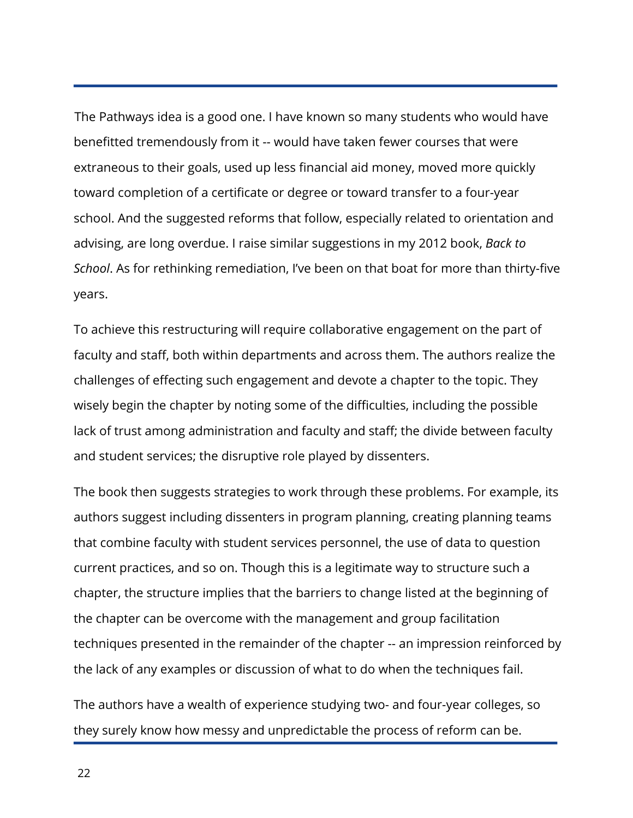The Pathways idea is a good one. I have known so many students who would have benefitted tremendously from it -- would have taken fewer courses that were extraneous to their goals, used up less financial aid money, moved more quickly toward completion of a certificate or degree or toward transfer to a four-year school. And the suggested reforms that follow, especially related to orientation and advising, are long overdue. I raise similar suggestions in my 2012 book, *Back to School*. As for rethinking remediation, I've been on that boat for more than thirty-five years.

To achieve this restructuring will require collaborative engagement on the part of faculty and staff, both within departments and across them. The authors realize the challenges of effecting such engagement and devote a chapter to the topic. They wisely begin the chapter by noting some of the difficulties, including the possible lack of trust among administration and faculty and staff; the divide between faculty and student services; the disruptive role played by dissenters.

The book then suggests strategies to work through these problems. For example, its authors suggest including dissenters in program planning, creating planning teams that combine faculty with student services personnel, the use of data to question current practices, and so on. Though this is a legitimate way to structure such a chapter, the structure implies that the barriers to change listed at the beginning of the chapter can be overcome with the management and group facilitation techniques presented in the remainder of the chapter -- an impression reinforced by the lack of any examples or discussion of what to do when the techniques fail.

The authors have a wealth of experience studying two- and four-year colleges, so they surely know how messy and unpredictable the process of reform can be.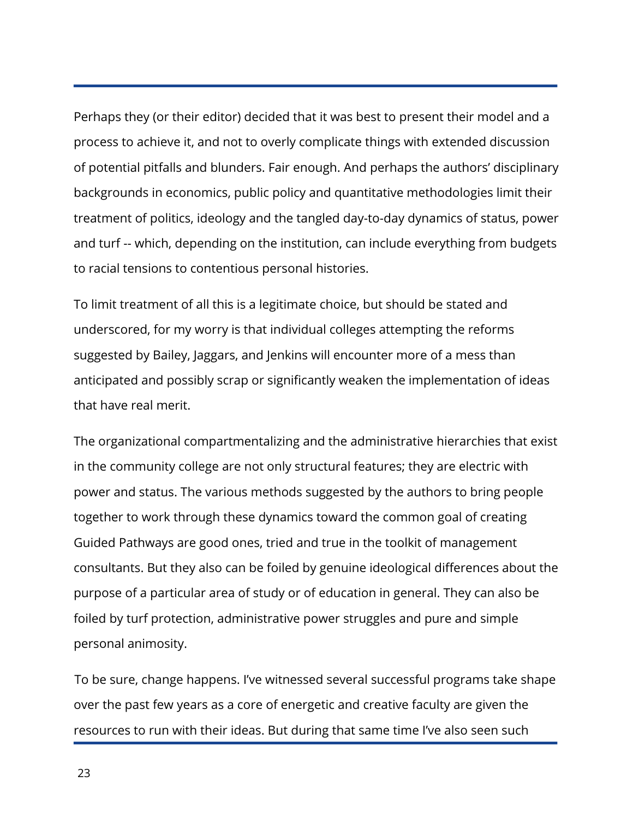Perhaps they (or their editor) decided that it was best to present their model and a process to achieve it, and not to overly complicate things with extended discussion of potential pitfalls and blunders. Fair enough. And perhaps the authors' disciplinary backgrounds in economics, public policy and quantitative methodologies limit their treatment of politics, ideology and the tangled day-to-day dynamics of status, power and turf -- which, depending on the institution, can include everything from budgets to racial tensions to contentious personal histories.

To limit treatment of all this is a legitimate choice, but should be stated and underscored, for my worry is that individual colleges attempting the reforms suggested by Bailey, Jaggars, and Jenkins will encounter more of a mess than anticipated and possibly scrap or significantly weaken the implementation of ideas that have real merit.

The organizational compartmentalizing and the administrative hierarchies that exist in the community college are not only structural features; they are electric with power and status. The various methods suggested by the authors to bring people together to work through these dynamics toward the common goal of creating Guided Pathways are good ones, tried and true in the toolkit of management consultants. But they also can be foiled by genuine ideological differences about the purpose of a particular area of study or of education in general. They can also be foiled by turf protection, administrative power struggles and pure and simple personal animosity.

To be sure, change happens. I've witnessed several successful programs take shape over the past few years as a core of energetic and creative faculty are given the resources to run with their ideas. But during that same time I've also seen such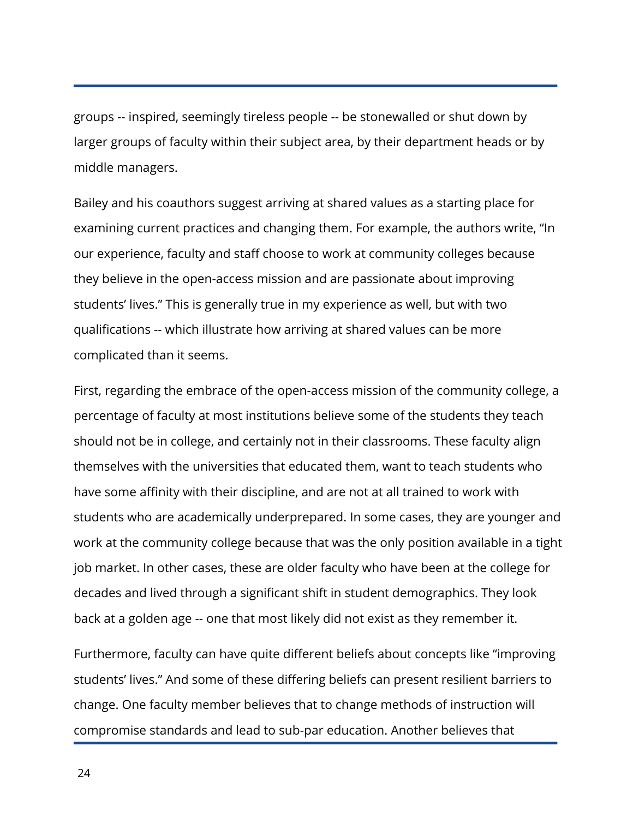groups -- inspired, seemingly tireless people -- be stonewalled or shut down by larger groups of faculty within their subject area, by their department heads or by middle managers.

Bailey and his coauthors suggest arriving at shared values as a starting place for examining current practices and changing them. For example, the authors write, "In our experience, faculty and staff choose to work at community colleges because they believe in the open-access mission and are passionate about improving students' lives." This is generally true in my experience as well, but with two qualifications -- which illustrate how arriving at shared values can be more complicated than it seems.

First, regarding the embrace of the open-access mission of the community college, a percentage of faculty at most institutions believe some of the students they teach should not be in college, and certainly not in their classrooms. These faculty align themselves with the universities that educated them, want to teach students who have some affinity with their discipline, and are not at all trained to work with students who are academically underprepared. In some cases, they are younger and work at the community college because that was the only position available in a tight job market. In other cases, these are older faculty who have been at the college for decades and lived through a significant shift in student demographics. They look back at a golden age -- one that most likely did not exist as they remember it.

Furthermore, faculty can have quite different beliefs about concepts like "improving students' lives." And some of these differing beliefs can present resilient barriers to change. One faculty member believes that to change methods of instruction will compromise standards and lead to sub-par education. Another believes that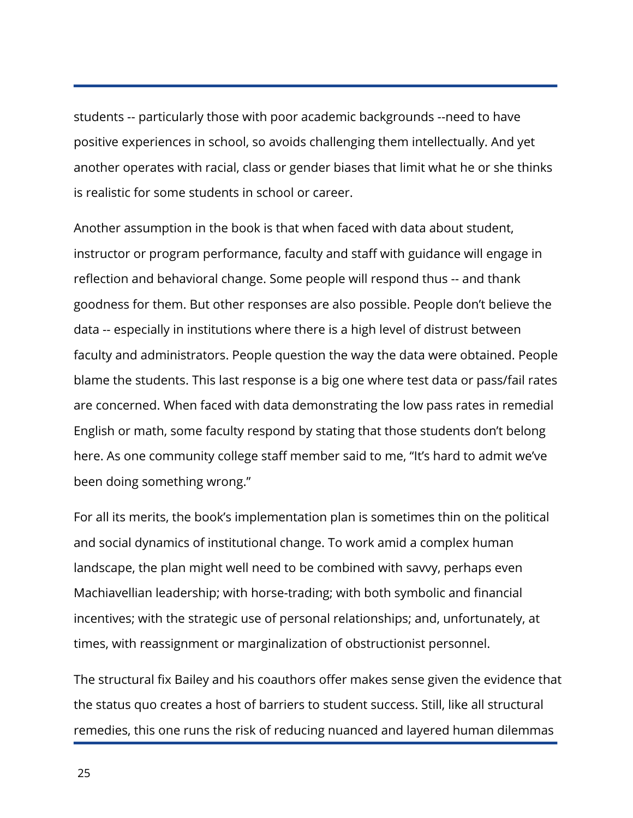students -- particularly those with poor academic backgrounds --need to have positive experiences in school, so avoids challenging them intellectually. And yet another operates with racial, class or gender biases that limit what he or she thinks is realistic for some students in school or career.

Another assumption in the book is that when faced with data about student, instructor or program performance, faculty and staff with guidance will engage in reflection and behavioral change. Some people will respond thus -- and thank goodness for them. But other responses are also possible. People don't believe the data -- especially in institutions where there is a high level of distrust between faculty and administrators. People question the way the data were obtained. People blame the students. This last response is a big one where test data or pass/fail rates are concerned. When faced with data demonstrating the low pass rates in remedial English or math, some faculty respond by stating that those students don't belong here. As one community college staff member said to me, "It's hard to admit we've been doing something wrong."

For all its merits, the book's implementation plan is sometimes thin on the political and social dynamics of institutional change. To work amid a complex human landscape, the plan might well need to be combined with savvy, perhaps even Machiavellian leadership; with horse-trading; with both symbolic and financial incentives; with the strategic use of personal relationships; and, unfortunately, at times, with reassignment or marginalization of obstructionist personnel.

The structural fix Bailey and his coauthors offer makes sense given the evidence that the status quo creates a host of barriers to student success. Still, like all structural remedies, this one runs the risk of reducing nuanced and layered human dilemmas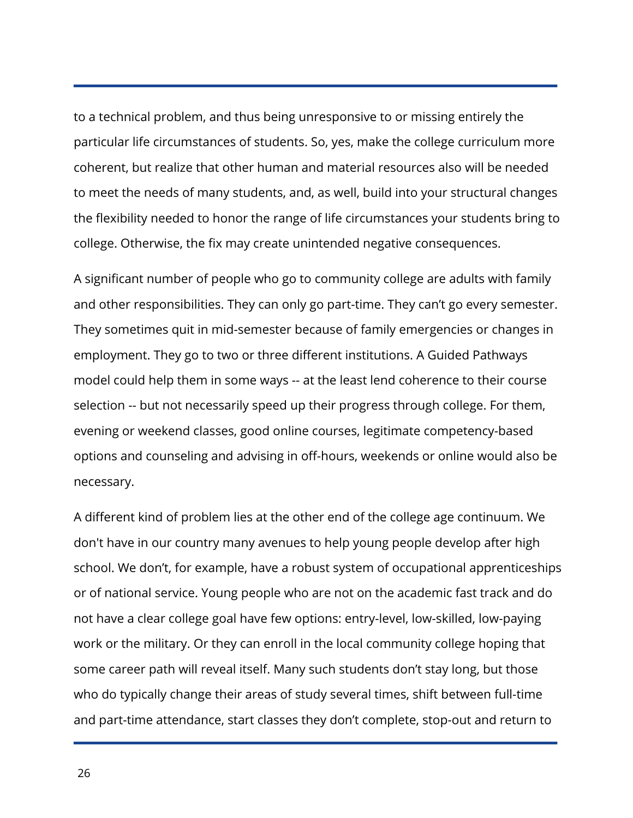to a technical problem, and thus being unresponsive to or missing entirely the particular life circumstances of students. So, yes, make the college curriculum more coherent, but realize that other human and material resources also will be needed to meet the needs of many students, and, as well, build into your structural changes the flexibility needed to honor the range of life circumstances your students bring to college. Otherwise, the fix may create unintended negative consequences.

A significant number of people who go to community college are adults with family and other responsibilities. They can only go part-time. They can't go every semester. They sometimes quit in mid-semester because of family emergencies or changes in employment. They go to two or three different institutions. A Guided Pathways model could help them in some ways -- at the least lend coherence to their course selection -- but not necessarily speed up their progress through college. For them, evening or weekend classes, good online courses, legitimate competency-based options and counseling and advising in off-hours, weekends or online would also be necessary.

A different kind of problem lies at the other end of the college age continuum. We don't have in our country many avenues to help young people develop after high school. We don't, for example, have a robust system of occupational apprenticeships or of national service. Young people who are not on the academic fast track and do not have a clear college goal have few options: entry-level, low-skilled, low-paying work or the military. Or they can enroll in the local community college hoping that some career path will reveal itself. Many such students don't stay long, but those who do typically change their areas of study several times, shift between full-time and part-time attendance, start classes they don't complete, stop-out and return to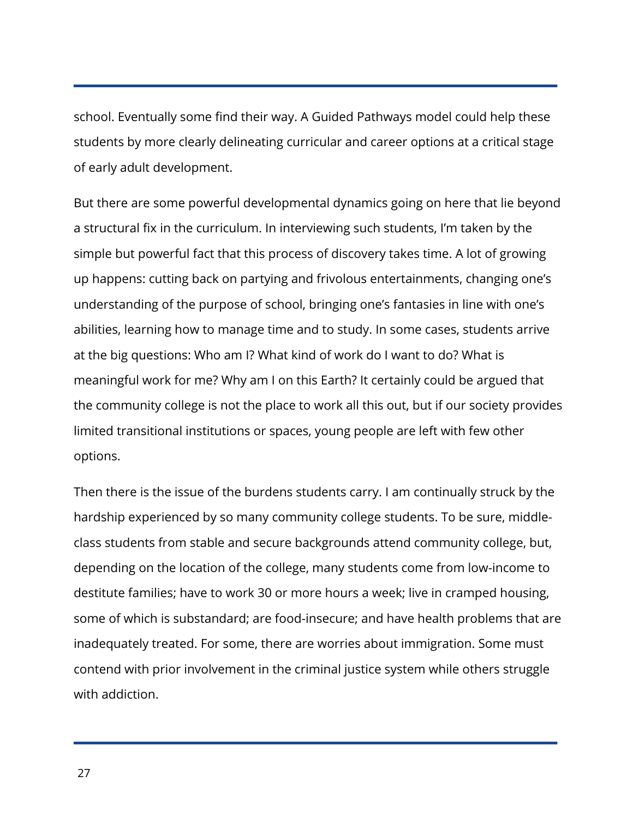school. Eventually some find their way. A Guided Pathways model could help these students by more clearly delineating curricular and career options at a critical stage of early adult development.

But there are some powerful developmental dynamics going on here that lie beyond a structural fix in the curriculum. In interviewing such students, I'm taken by the simple but powerful fact that this process of discovery takes time. A lot of growing up happens: cutting back on partying and frivolous entertainments, changing one's understanding of the purpose of school, bringing one's fantasies in line with one's abilities, learning how to manage time and to study. In some cases, students arrive at the big questions: Who am I? What kind of work do I want to do? What is meaningful work for me? Why am I on this Earth? It certainly could be argued that the community college is not the place to work all this out, but if our society provides limited transitional institutions or spaces, young people are left with few other options.

Then there is the issue of the burdens students carry. I am continually struck by the hardship experienced by so many community college students. To be sure, middleclass students from stable and secure backgrounds attend community college, but, depending on the location of the college, many students come from low-income to destitute families; have to work 30 or more hours a week; live in cramped housing, some of which is substandard; are food-insecure; and have health problems that are inadequately treated. For some, there are worries about immigration. Some must contend with prior involvement in the criminal justice system while others struggle with addiction.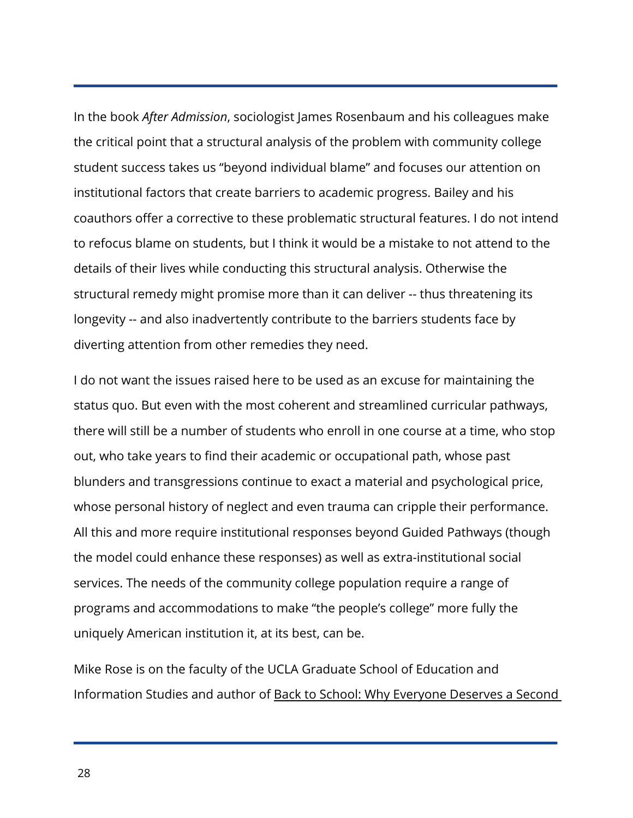In the book *After Admission*, sociologist James Rosenbaum and his colleagues make the critical point that a structural analysis of the problem with community college student success takes us "beyond individual blame" and focuses our attention on institutional factors that create barriers to academic progress. Bailey and his coauthors offer a corrective to these problematic structural features. I do not intend to refocus blame on students, but I think it would be a mistake to not attend to the details of their lives while conducting this structural analysis. Otherwise the structural remedy might promise more than it can deliver -- thus threatening its longevity -- and also inadvertently contribute to the barriers students face by diverting attention from other remedies they need.

I do not want the issues raised here to be used as an excuse for maintaining the status quo. But even with the most coherent and streamlined curricular pathways, there will still be a number of students who enroll in one course at a time, who stop out, who take years to find their academic or occupational path, whose past blunders and transgressions continue to exact a material and psychological price, whose personal history of neglect and even trauma can cripple their performance. All this and more require institutional responses beyond Guided Pathways (though the model could enhance these responses) as well as extra-institutional social services. The needs of the community college population require a range of programs and accommodations to make "the people's college" more fully the uniquely American institution it, at its best, can be.

Mike Rose is on the faculty of the UCLA Graduate School of Education and Information Studies and author of Back to School: Why Everyone Deserves a Second